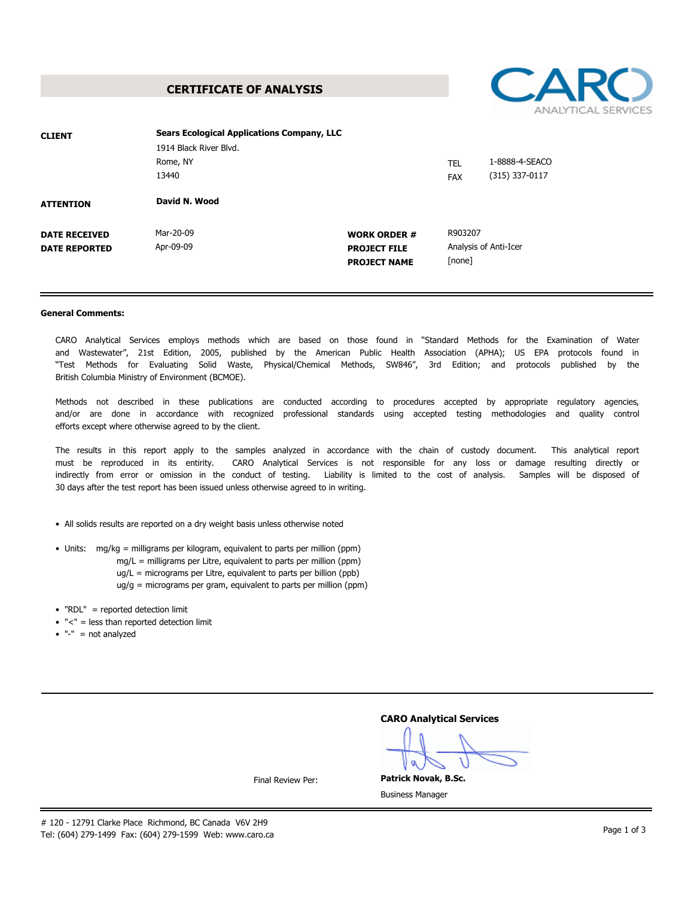**CERTIFICATE OF ANALYSIS**



#### **General Comments:**

CARO Analytical Services employs methods which are based on those found in "Standard Methods for the Examination of Water and Wastewater", 21st Edition, 2005, published by the American Public Health Association (APHA); US EPA protocols found in "Test Methods for Evaluating Solid Waste, Physical/Chemical Methods, SW846", 3rd Edition; and protocols published by the British Columbia Ministry of Environment (BCMOE).

Methods not described in these publications are conducted according to procedures accepted by appropriate regulatory agencies,<br>and/or are done in accordance with recognized professional standards using accepted testing met efforts except where otherwise agreed to by the client.

The results in this report apply to the samples analyzed in accordance with the chain of custody document. This analytical report must be reproduced in its entirity. CARO Analytical Services is not responsible for any loss or damage resulting directly or indirectly from error or omission in the conduct of testing. Liability is limited to the cost of analysis. Samples will be disposed of 30 days after the test report has been issued unless otherwise agreed to in writing.

- All solids results are reported on a dry weight basis unless otherwise noted
- Units: mg/kg = milligrams per kilogram, equivalent to parts per million (ppm)
	- mg/L = milligrams per Litre, equivalent to parts per million (ppm)
	- ug/L = micrograms per Litre, equivalent to parts per billion (ppb)
	- ug/g = micrograms per gram, equivalent to parts per million (ppm)
- "RDL" = reported detection limit
- "<" = less than reported detection limit
- $\bullet$  "-" = not analyzed

| <b>CARO Analytical Services</b> |  |
|---------------------------------|--|
|---------------------------------|--|

**Patrick Novak, B.Sc.**

Final Review Per:

Business Manager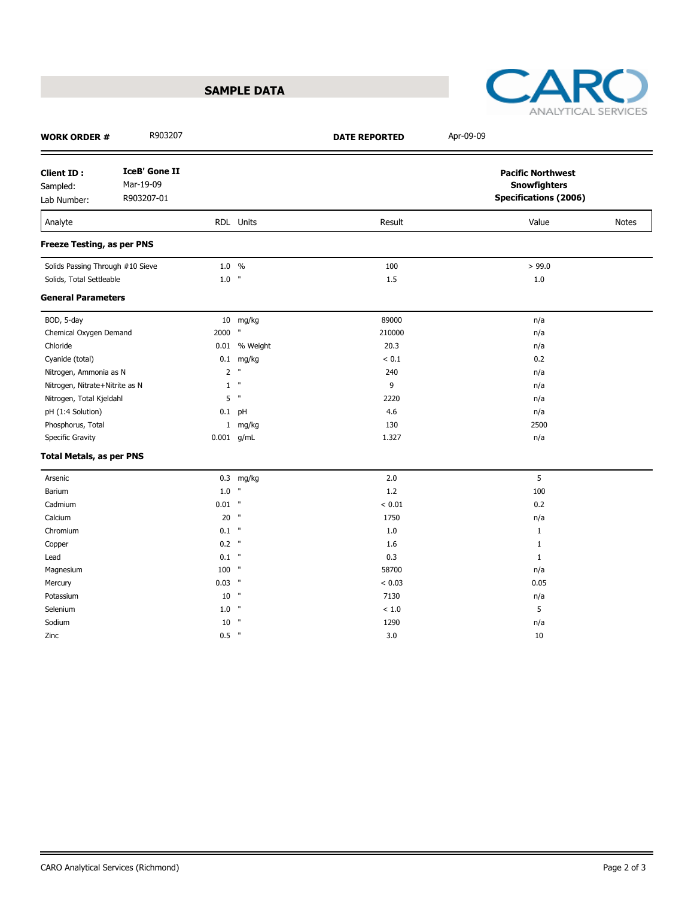



| <b>WORK ORDER #</b>                          | R903207                                         |          |                 | <b>DATE REPORTED</b> | Apr-09-09                                                                       |              |
|----------------------------------------------|-------------------------------------------------|----------|-----------------|----------------------|---------------------------------------------------------------------------------|--------------|
| <b>Client ID:</b><br>Sampled:<br>Lab Number: | <b>IceB' Gone II</b><br>Mar-19-09<br>R903207-01 |          |                 |                      | <b>Pacific Northwest</b><br><b>Snowfighters</b><br><b>Specifications (2006)</b> |              |
| Analyte                                      |                                                 |          | RDL Units       | Result               | Value                                                                           | <b>Notes</b> |
| Freeze Testing, as per PNS                   |                                                 |          |                 |                      |                                                                                 |              |
| Solids Passing Through #10 Sieve             |                                                 | 1.0 %    |                 | 100                  | > 99.0                                                                          |              |
| Solids, Total Settleable                     |                                                 | $1.0$ "  |                 | 1.5                  | $1.0\,$                                                                         |              |
| <b>General Parameters</b>                    |                                                 |          |                 |                      |                                                                                 |              |
| BOD, 5-day                                   |                                                 |          | 10 mg/kg        | 89000                | n/a                                                                             |              |
| Chemical Oxygen Demand                       |                                                 | 2000     | $\mathbf{u}$    | 210000               | n/a                                                                             |              |
| Chloride                                     |                                                 |          | 0.01 % Weight   | 20.3                 | n/a                                                                             |              |
| Cyanide (total)                              |                                                 |          | $0.1$ mg/kg     | $< 0.1$              | 0.2                                                                             |              |
| Nitrogen, Ammonia as N                       |                                                 |          | 2 <sup>''</sup> | 240                  | n/a                                                                             |              |
| Nitrogen, Nitrate+Nitrite as N               |                                                 | 1        | $\,$ H          | 9                    | n/a                                                                             |              |
| Nitrogen, Total Kjeldahl                     |                                                 |          | $5$ "           | 2220                 | n/a                                                                             |              |
| pH (1:4 Solution)                            |                                                 |          | $0.1$ pH        | 4.6                  | n/a                                                                             |              |
| Phosphorus, Total                            |                                                 |          | 1 mg/kg         | 130                  | 2500                                                                            |              |
| Specific Gravity                             |                                                 |          | $0.001$ g/mL    | 1.327                | n/a                                                                             |              |
| <b>Total Metals, as per PNS</b>              |                                                 |          |                 |                      |                                                                                 |              |
| Arsenic                                      |                                                 |          | $0.3$ mg/kg     | 2.0                  | 5                                                                               |              |
| Barium                                       |                                                 | $1.0$ "  |                 | $1.2\,$              | 100                                                                             |              |
| Cadmium                                      |                                                 | $0.01$ " |                 | < 0.01               | 0.2                                                                             |              |
| Calcium                                      |                                                 | $20$ "   |                 | 1750                 | n/a                                                                             |              |
| Chromium                                     |                                                 | $0.1$ "  |                 | 1.0                  | $\mathbf{1}$                                                                    |              |
| Copper                                       |                                                 | $0.2$ "  |                 | 1.6                  | $\mathbf{1}$                                                                    |              |
| Lead                                         |                                                 | $0.1$ "  |                 | 0.3                  | $\mathbf{1}$                                                                    |              |
| Magnesium                                    |                                                 | 100 "    |                 | 58700                | n/a                                                                             |              |
| Mercury                                      |                                                 | $0.03$ " |                 | < 0.03               | 0.05                                                                            |              |
| Potassium                                    |                                                 | 10       | $^{\circ}$      | 7130                 | n/a                                                                             |              |
| Selenium                                     |                                                 | $1.0$ "  |                 | < 1.0                | 5                                                                               |              |
| Sodium                                       |                                                 | $10$ "   |                 | 1290                 | n/a                                                                             |              |
| Zinc                                         |                                                 | $0.5$ "  |                 | 3.0                  | 10                                                                              |              |

 $\equiv$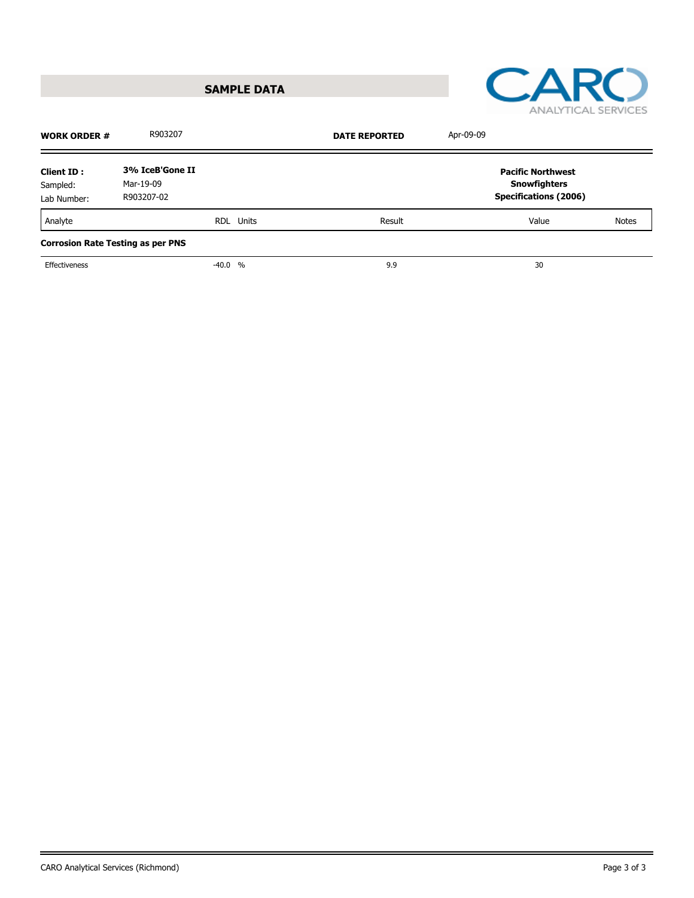**SAMPLE DATA**



| 3% IceB'Gone II<br><b>Client ID:</b><br>Mar-19-09<br>Sampled:<br>R903207-02<br>Lab Number: |                                                                                 |
|--------------------------------------------------------------------------------------------|---------------------------------------------------------------------------------|
|                                                                                            | <b>Pacific Northwest</b><br><b>Snowfighters</b><br><b>Specifications (2006)</b> |
| Analyte<br>Result<br>RDL Units                                                             | Value<br><b>Notes</b>                                                           |
| <b>Corrosion Rate Testing as per PNS</b>                                                   |                                                                                 |
| Effectiveness<br>9.9<br>$-40.0 %$                                                          | 30                                                                              |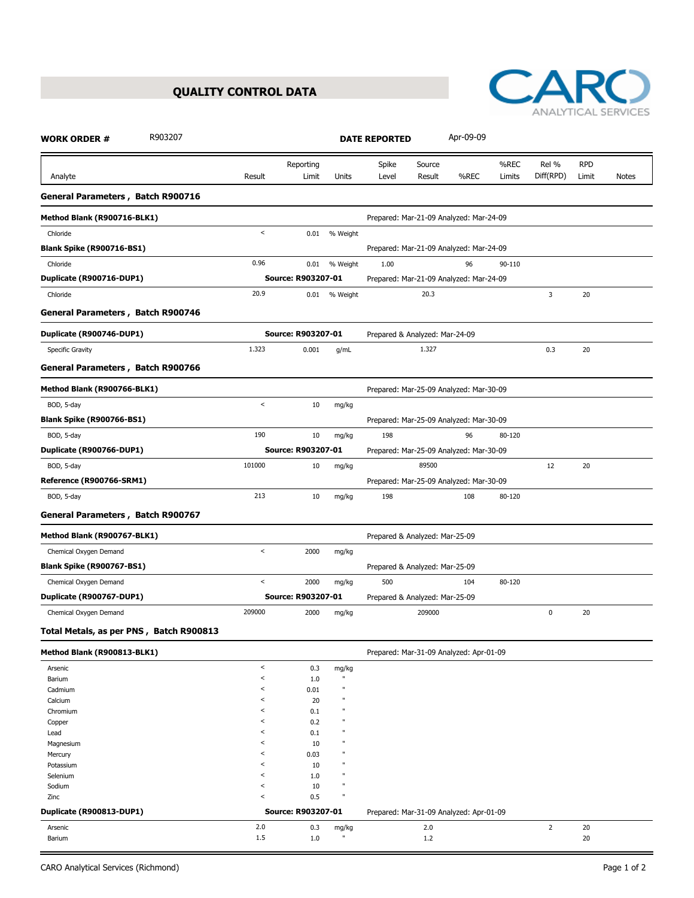## **QUALITY CONTROL DATA**



| R903207<br><b>WORK ORDER #</b>          |         |                           |                             | <b>DATE REPORTED</b> |                                | Apr-09-09                               |        |                |            |              |
|-----------------------------------------|---------|---------------------------|-----------------------------|----------------------|--------------------------------|-----------------------------------------|--------|----------------|------------|--------------|
|                                         |         | Reporting                 |                             | Spike                | Source                         |                                         | %REC   | Rel %          | <b>RPD</b> |              |
| Analyte                                 | Result  | Limit                     | Units                       | Level                | Result                         | %REC                                    | Limits | Diff(RPD)      | Limit      | <b>Notes</b> |
| General Parameters, Batch R900716       |         |                           |                             |                      |                                |                                         |        |                |            |              |
| Method Blank (R900716-BLK1)             |         |                           |                             |                      |                                | Prepared: Mar-21-09 Analyzed: Mar-24-09 |        |                |            |              |
| Chloride                                | $\,<$   | 0.01                      | % Weight                    |                      |                                |                                         |        |                |            |              |
| <b>Blank Spike (R900716-BS1)</b>        |         |                           |                             |                      |                                | Prepared: Mar-21-09 Analyzed: Mar-24-09 |        |                |            |              |
| Chloride                                | 0.96    | 0.01                      | % Weight                    | 1.00                 |                                | 96                                      | 90-110 |                |            |              |
| Duplicate (R900716-DUP1)                |         | Source: R903207-01        |                             |                      |                                | Prepared: Mar-21-09 Analyzed: Mar-24-09 |        |                |            |              |
| Chloride                                | 20.9    | 0.01                      | % Weight                    |                      | 20.3                           |                                         |        | 3              | 20         |              |
| General Parameters, Batch R900746       |         |                           |                             |                      |                                |                                         |        |                |            |              |
| Duplicate (R900746-DUP1)                |         | Source: R903207-01        |                             |                      | Prepared & Analyzed: Mar-24-09 |                                         |        |                |            |              |
| Specific Gravity                        | 1.323   | 0.001                     | g/mL                        |                      | 1.327                          |                                         |        | 0.3            | 20         |              |
| General Parameters, Batch R900766       |         |                           |                             |                      |                                |                                         |        |                |            |              |
| Method Blank (R900766-BLK1)             |         |                           |                             |                      |                                | Prepared: Mar-25-09 Analyzed: Mar-30-09 |        |                |            |              |
| BOD, 5-day                              | $\,<$   | 10                        | mg/kg                       |                      |                                |                                         |        |                |            |              |
| <b>Blank Spike (R900766-BS1)</b>        |         |                           |                             |                      |                                | Prepared: Mar-25-09 Analyzed: Mar-30-09 |        |                |            |              |
| BOD, 5-day                              | 190     | 10                        | mg/kg                       | 198                  |                                | 96                                      | 80-120 |                |            |              |
| Duplicate (R900766-DUP1)                |         | Source: R903207-01        |                             |                      |                                | Prepared: Mar-25-09 Analyzed: Mar-30-09 |        |                |            |              |
| BOD, 5-day                              | 101000  | 10                        | mg/kg                       |                      | 89500                          |                                         |        | 12             | 20         |              |
| Reference (R900766-SRM1)                |         |                           |                             |                      |                                | Prepared: Mar-25-09 Analyzed: Mar-30-09 |        |                |            |              |
| BOD, 5-day                              | 213     | 10                        | mg/kg                       | 198                  |                                | 108                                     | 80-120 |                |            |              |
| General Parameters, Batch R900767       |         |                           |                             |                      |                                |                                         |        |                |            |              |
| Method Blank (R900767-BLK1)             |         |                           |                             |                      | Prepared & Analyzed: Mar-25-09 |                                         |        |                |            |              |
| Chemical Oxygen Demand                  | $\,<$   | 2000                      | mg/kg                       |                      |                                |                                         |        |                |            |              |
| <b>Blank Spike (R900767-BS1)</b>        |         |                           |                             |                      | Prepared & Analyzed: Mar-25-09 |                                         |        |                |            |              |
| Chemical Oxygen Demand                  | $\,<$   | 2000                      | mg/kg                       | 500                  |                                | 104                                     | 80-120 |                |            |              |
| Duplicate (R900767-DUP1)                |         | Source: R903207-01        |                             |                      | Prepared & Analyzed: Mar-25-09 |                                         |        |                |            |              |
| Chemical Oxygen Demand                  | 209000  | 2000                      | mg/kg                       |                      | 209000                         |                                         |        | $\pmb{0}$      | 20         |              |
| Total Metals, as per PNS, Batch R900813 |         |                           |                             |                      |                                |                                         |        |                |            |              |
| Method Blank (R900813-BLK1)             |         |                           |                             |                      |                                | Prepared: Mar-31-09 Analyzed: Apr-01-09 |        |                |            |              |
| Arsenic                                 | $\,<$   | 0.3                       | mg/kg                       |                      |                                |                                         |        |                |            |              |
| Barium                                  | $\,<\,$ | $1.0$                     | $\mathbf{u}$                |                      |                                |                                         |        |                |            |              |
| Cadmium                                 | $\,<\,$ | 0.01                      | $\mathbf u$                 |                      |                                |                                         |        |                |            |              |
| Calcium                                 | $\,<\,$ | 20                        | $\mathbf{u}$                |                      |                                |                                         |        |                |            |              |
| Chromium                                | $\,<\,$ | 0.1                       | π                           |                      |                                |                                         |        |                |            |              |
| Copper                                  | $\,<\,$ | 0.2                       | $\mathbf{u}$                |                      |                                |                                         |        |                |            |              |
| Lead                                    | $\,<\,$ | 0.1                       | п                           |                      |                                |                                         |        |                |            |              |
| Magnesium                               | $\,<\,$ | 10                        | Ħ                           |                      |                                |                                         |        |                |            |              |
| Mercury                                 | $\,<\,$ | 0.03                      | $\mathbf{u}$                |                      |                                |                                         |        |                |            |              |
| Potassium                               | $\,<\,$ | 10                        | $\mathbf{u}$                |                      |                                |                                         |        |                |            |              |
| Selenium                                | $\,<\,$ | 1.0                       | $\mathbf{u}$                |                      |                                |                                         |        |                |            |              |
| Sodium                                  | $\,<\,$ | 10                        | $\mathbf u$<br>$\mathbf{u}$ |                      |                                |                                         |        |                |            |              |
| Zinc<br>Duplicate (R900813-DUP1)        | $\,<\,$ | 0.5<br>Source: R903207-01 |                             |                      |                                | Prepared: Mar-31-09 Analyzed: Apr-01-09 |        |                |            |              |
|                                         | 2.0     |                           |                             |                      |                                |                                         |        |                |            |              |
| Arsenic<br>Barium                       | 1.5     | 0.3<br>1.0                | mg/kg<br>$\mathbf u$        |                      | 2.0<br>1.2                     |                                         |        | $\overline{2}$ | 20<br>20   |              |
|                                         |         |                           |                             |                      |                                |                                         |        |                |            |              |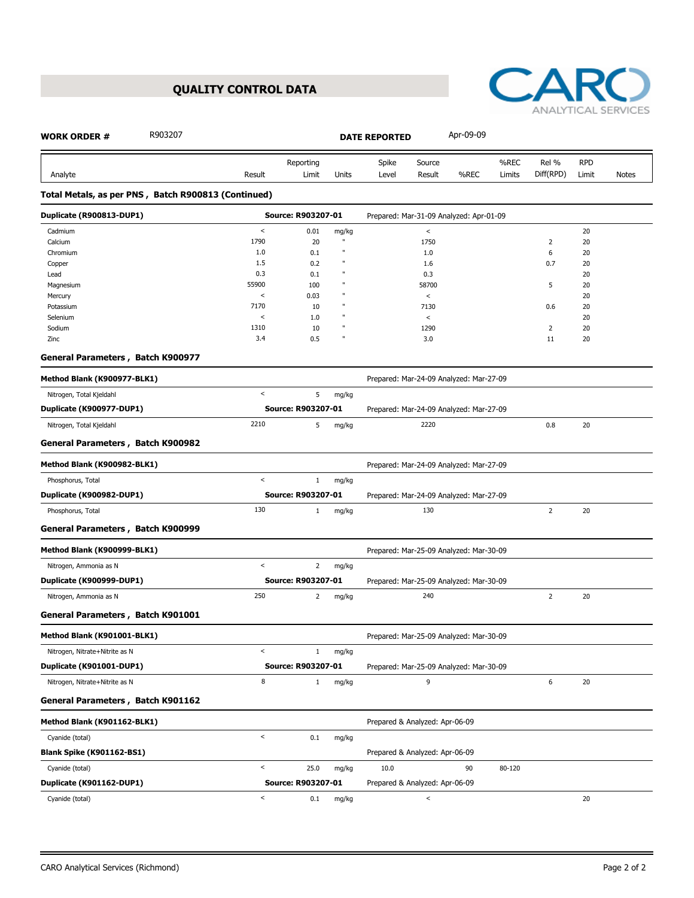# **QUALITY CONTROL DATA**



| R903207<br><b>WORK ORDER #</b>                      |                          |                    |       | <b>DATE REPORTED</b>           |              | Apr-09-09                               |        |                |            |              |
|-----------------------------------------------------|--------------------------|--------------------|-------|--------------------------------|--------------|-----------------------------------------|--------|----------------|------------|--------------|
|                                                     |                          | Reporting          |       | Spike                          | Source       |                                         | %REC   | Rel %          | <b>RPD</b> |              |
| Analyte                                             | Result                   | Limit              | Units | Level                          | Result       | %REC                                    | Limits | Diff(RPD)      | Limit      | <b>Notes</b> |
| Total Metals, as per PNS, Batch R900813 (Continued) |                          |                    |       |                                |              |                                         |        |                |            |              |
| Duplicate (R900813-DUP1)                            |                          | Source: R903207-01 |       |                                |              | Prepared: Mar-31-09 Analyzed: Apr-01-09 |        |                |            |              |
| Cadmium                                             | $\,<$                    | 0.01               | mg/kg |                                | $\,<$        |                                         |        |                | 20         |              |
| Calcium                                             | 1790                     | 20                 |       |                                | 1750         |                                         |        | $\overline{2}$ | 20         |              |
| Chromium                                            | 1.0                      | 0.1                |       |                                | 1.0          |                                         |        | 6              | 20         |              |
| Copper                                              | 1.5                      | 0.2                |       |                                | 1.6          |                                         |        | 0.7            | 20         |              |
| Lead                                                | 0.3<br>55900             | 0.1                |       |                                | 0.3<br>58700 |                                         |        | 5              | 20<br>20   |              |
| Magnesium<br>Mercury                                | $\,<$                    | 100<br>0.03        |       |                                | $\,<$        |                                         |        |                | 20         |              |
| Potassium                                           | 7170                     | 10                 |       |                                | 7130         |                                         |        | 0.6            | 20         |              |
| Selenium                                            | $\,<$                    | 1.0                |       |                                | $\,<$        |                                         |        |                | 20         |              |
| Sodium                                              | 1310                     | 10                 |       |                                | 1290         |                                         |        | $\overline{2}$ | 20         |              |
| Zinc                                                | 3.4                      | 0.5                | ш     |                                | 3.0          |                                         |        | 11             | 20         |              |
| General Parameters, Batch K900977                   |                          |                    |       |                                |              |                                         |        |                |            |              |
| Method Blank (K900977-BLK1)                         |                          |                    |       |                                |              | Prepared: Mar-24-09 Analyzed: Mar-27-09 |        |                |            |              |
| Nitrogen, Total Kjeldahl                            | $\,<$                    | 5                  | mg/kg |                                |              |                                         |        |                |            |              |
| Duplicate (K900977-DUP1)                            |                          | Source: R903207-01 |       |                                |              | Prepared: Mar-24-09 Analyzed: Mar-27-09 |        |                |            |              |
| Nitrogen, Total Kjeldahl                            | 2210                     | 5                  | mg/kg |                                | 2220         |                                         |        | 0.8            | 20         |              |
| General Parameters, Batch K900982                   |                          |                    |       |                                |              |                                         |        |                |            |              |
| Method Blank (K900982-BLK1)                         |                          |                    |       |                                |              | Prepared: Mar-24-09 Analyzed: Mar-27-09 |        |                |            |              |
| Phosphorus, Total                                   | $\,<$                    | $\mathbf{1}$       | mg/kg |                                |              |                                         |        |                |            |              |
| Duplicate (K900982-DUP1)                            |                          | Source: R903207-01 |       |                                |              | Prepared: Mar-24-09 Analyzed: Mar-27-09 |        |                |            |              |
|                                                     | 130                      |                    |       |                                | 130          |                                         |        | $\overline{2}$ | 20         |              |
| Phosphorus, Total                                   |                          | $\mathbf{1}$       | mg/kg |                                |              |                                         |        |                |            |              |
| General Parameters, Batch K900999                   |                          |                    |       |                                |              |                                         |        |                |            |              |
| Method Blank (K900999-BLK1)                         |                          |                    |       |                                |              | Prepared: Mar-25-09 Analyzed: Mar-30-09 |        |                |            |              |
| Nitrogen, Ammonia as N                              | $\,<$                    | $\overline{2}$     | mg/kg |                                |              |                                         |        |                |            |              |
| Duplicate (K900999-DUP1)                            |                          | Source: R903207-01 |       |                                |              | Prepared: Mar-25-09 Analyzed: Mar-30-09 |        |                |            |              |
| Nitrogen, Ammonia as N                              | 250                      | 2                  | mg/kg |                                | 240          |                                         |        | $\overline{2}$ | 20         |              |
| General Parameters, Batch K901001                   |                          |                    |       |                                |              |                                         |        |                |            |              |
| Method Blank (K901001-BLK1)                         |                          |                    |       |                                |              | Prepared: Mar-25-09 Analyzed: Mar-30-09 |        |                |            |              |
| Nitrogen, Nitrate+Nitrite as N                      | $\,<$                    | $\mathbf{1}$       | mg/kg |                                |              |                                         |        |                |            |              |
| Duplicate (K901001-DUP1)                            |                          | Source: R903207-01 |       |                                |              | Prepared: Mar-25-09 Analyzed: Mar-30-09 |        |                |            |              |
| Nitrogen, Nitrate+Nitrite as N                      | 8                        | $\mathbf{1}$       | mg/kg |                                | 9            |                                         |        | 6              | 20         |              |
| General Parameters, Batch K901162                   |                          |                    |       |                                |              |                                         |        |                |            |              |
| Method Blank (K901162-BLK1)                         |                          |                    |       | Prepared & Analyzed: Apr-06-09 |              |                                         |        |                |            |              |
| Cyanide (total)                                     | $\,<$                    | 0.1                | mg/kg |                                |              |                                         |        |                |            |              |
| <b>Blank Spike (K901162-BS1)</b>                    |                          |                    |       | Prepared & Analyzed: Apr-06-09 |              |                                         |        |                |            |              |
| Cyanide (total)                                     | $\,<$                    | 25.0               | mg/kg | 10.0                           |              | 90                                      | 80-120 |                |            |              |
| Duplicate (K901162-DUP1)                            |                          | Source: R903207-01 |       | Prepared & Analyzed: Apr-06-09 |              |                                         |        |                |            |              |
|                                                     |                          |                    |       |                                |              |                                         |        |                |            |              |
| Cyanide (total)                                     | $\overline{\phantom{a}}$ | 0.1                | mg/kg |                                | $\,<$        |                                         |        |                | 20         |              |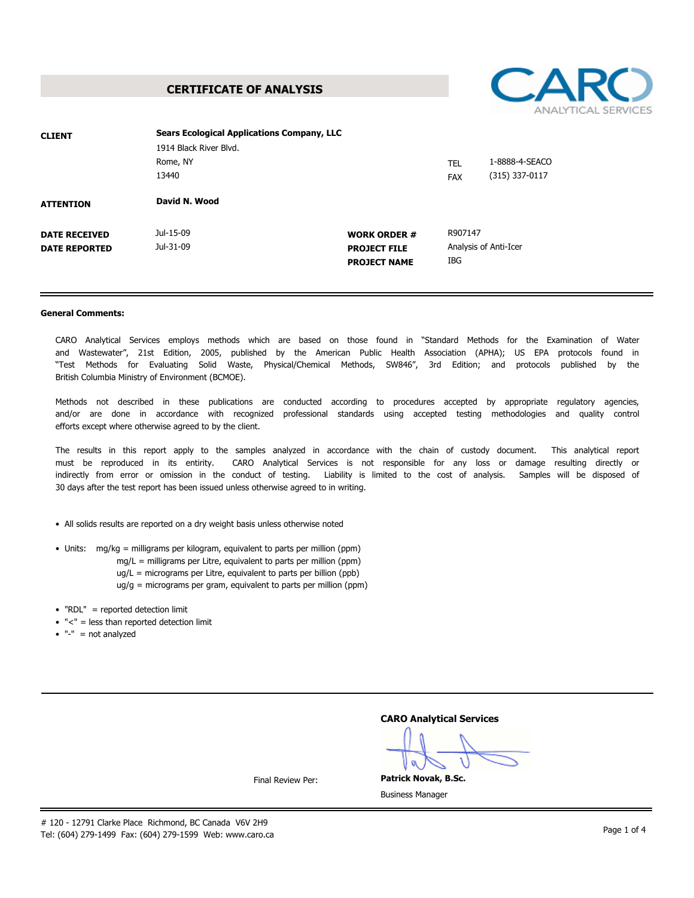**CERTIFICATE OF ANALYSIS**



| <b>CLIENT</b>        | <b>Sears Ecological Applications Company, LLC</b> |                     |            |                       |  |
|----------------------|---------------------------------------------------|---------------------|------------|-----------------------|--|
|                      | 1914 Black River Blvd.                            |                     |            |                       |  |
|                      | Rome, NY                                          |                     | <b>TEL</b> | 1-8888-4-SEACO        |  |
|                      | 13440                                             |                     | <b>FAX</b> | (315) 337-0117        |  |
| <b>ATTENTION</b>     | David N. Wood                                     |                     |            |                       |  |
| <b>DATE RECEIVED</b> | Jul-15-09                                         | <b>WORK ORDER #</b> | R907147    |                       |  |
| <b>DATE REPORTED</b> | Jul-31-09                                         | <b>PROJECT FILE</b> |            | Analysis of Anti-Icer |  |
|                      |                                                   | <b>PROJECT NAME</b> | IBG        |                       |  |
|                      |                                                   |                     |            |                       |  |

#### **General Comments:**

CARO Analytical Services employs methods which are based on those found in "Standard Methods for the Examination of Water and Wastewater", 21st Edition, 2005, published by the American Public Health Association (APHA); US EPA protocols found in "Test Methods for Evaluating Solid Waste, Physical/Chemical Methods, SW846", 3rd Edition; and protocols published by the British Columbia Ministry of Environment (BCMOE).

Methods not described in these publications are conducted according to procedures accepted by appropriate regulatory agencies,<br>and/or are done in accordance with recognized professional standards using accepted testing met efforts except where otherwise agreed to by the client.

The results in this report apply to the samples analyzed in accordance with the chain of custody document. This analytical report must be reproduced in its entirity. CARO Analytical Services is not responsible for any loss or damage resulting directly or indirectly from error or omission in the conduct of testing. Liability is limited to the cost of analysis. Samples will be disposed of 30 days after the test report has been issued unless otherwise agreed to in writing.

- All solids results are reported on a dry weight basis unless otherwise noted
- Units: mg/kg = milligrams per kilogram, equivalent to parts per million (ppm)
	- mg/L = milligrams per Litre, equivalent to parts per million (ppm)
	- ug/L = micrograms per Litre, equivalent to parts per billion (ppb)
	- ug/g = micrograms per gram, equivalent to parts per million (ppm)
- "RDL" = reported detection limit
- "<" = less than reported detection limit
- $\bullet$  "-" = not analyzed

| <b>CARO Analytical Services</b> |  |
|---------------------------------|--|
|---------------------------------|--|

**Patrick Novak, B.Sc.**

Final Review Per:

Business Manager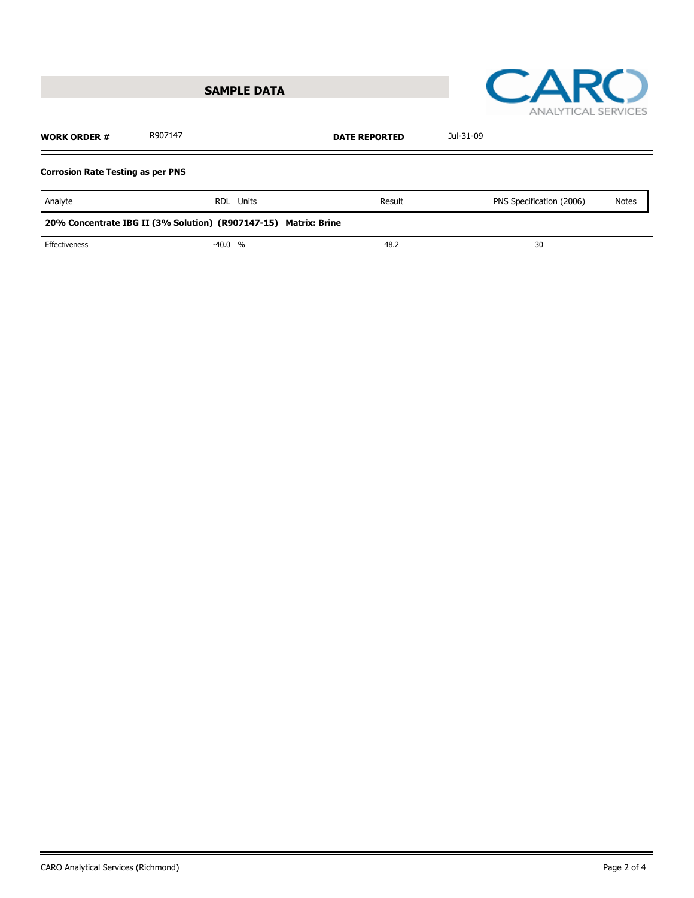



| <b>WORK ORDER #</b>                                             | R907147 |                  | Jul-31-09 |                          |              |  |  |  |
|-----------------------------------------------------------------|---------|------------------|-----------|--------------------------|--------------|--|--|--|
| <b>Corrosion Rate Testing as per PNS</b>                        |         |                  |           |                          |              |  |  |  |
| Analyte                                                         |         | <b>RDL</b> Units | Result    | PNS Specification (2006) | <b>Notes</b> |  |  |  |
| 20% Concentrate IBG II (3% Solution) (R907147-15) Matrix: Brine |         |                  |           |                          |              |  |  |  |
| Effectiveness                                                   |         | $-40.0 %$        | 48.2      | 30                       |              |  |  |  |
|                                                                 |         |                  |           |                          |              |  |  |  |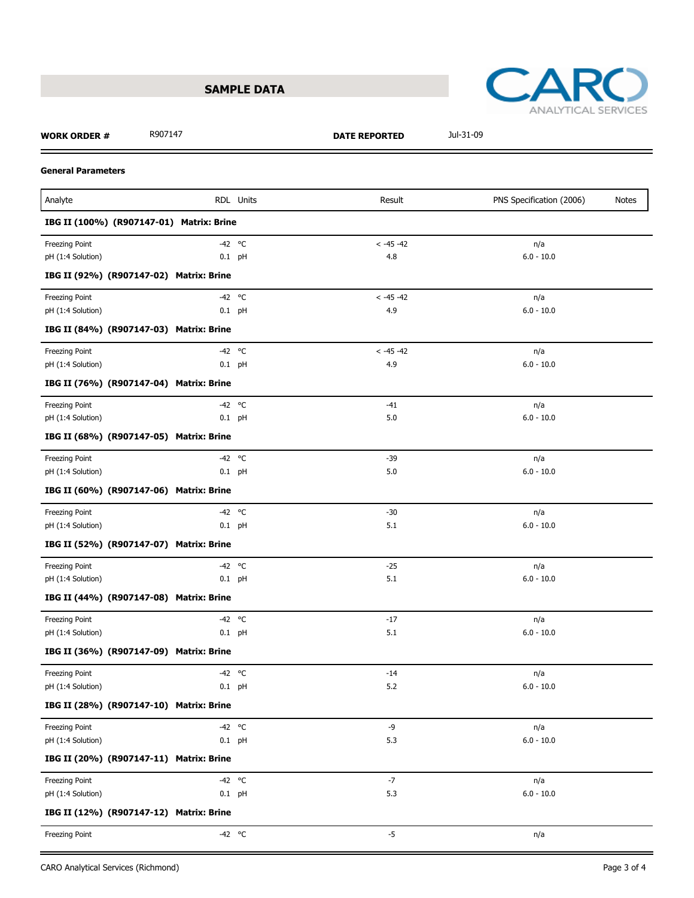



### **WORK ORDER #** R907147 **DATE REPORTED** Jul-31-09

### **General Parameters**

| Analyte                                  |          | RDL Units | Result       | PNS Specification (2006)<br>Notes |
|------------------------------------------|----------|-----------|--------------|-----------------------------------|
| IBG II (100%) (R907147-01) Matrix: Brine |          |           |              |                                   |
| Freezing Point                           | $-42$ °C |           | $< -45 -42$  | n/a                               |
| pH (1:4 Solution)                        | $0.1$ pH |           | 4.8          | $6.0 - 10.0$                      |
| IBG II (92%) (R907147-02) Matrix: Brine  |          |           |              |                                   |
| Freezing Point                           | $-42$ °C |           | $< -45 -42$  | n/a                               |
| pH (1:4 Solution)                        | $0.1$ pH |           | 4.9          | $6.0 - 10.0$                      |
| IBG II (84%) (R907147-03) Matrix: Brine  |          |           |              |                                   |
| Freezing Point                           | $-42$ °C |           | $< -45 - 42$ | n/a                               |
| pH (1:4 Solution)                        | $0.1$ pH |           | 4.9          | $6.0 - 10.0$                      |
| IBG II (76%) (R907147-04) Matrix: Brine  |          |           |              |                                   |
| Freezing Point                           | $-42$ °C |           | $-41$        | n/a                               |
| pH (1:4 Solution)                        | $0.1$ pH |           | 5.0          | $6.0 - 10.0$                      |
| IBG II (68%) (R907147-05) Matrix: Brine  |          |           |              |                                   |
| Freezing Point                           | $-42$ °C |           | $-39$        | n/a                               |
| pH (1:4 Solution)                        | $0.1$ pH |           | 5.0          | $6.0 - 10.0$                      |
| IBG II (60%) (R907147-06) Matrix: Brine  |          |           |              |                                   |
| Freezing Point                           | $-42$ °C |           | $-30$        | n/a                               |
| pH (1:4 Solution)                        | $0.1$ pH |           | 5.1          | $6.0 - 10.0$                      |
| IBG II (52%) (R907147-07) Matrix: Brine  |          |           |              |                                   |
| Freezing Point                           | $-42$ °C |           | $-25$        | n/a                               |
| pH (1:4 Solution)                        | $0.1$ pH |           | 5.1          | $6.0 - 10.0$                      |
| IBG II (44%) (R907147-08) Matrix: Brine  |          |           |              |                                   |
| Freezing Point                           | -42 °C   |           | $-17$        | n/a                               |
| pH (1:4 Solution)                        | $0.1$ pH |           | 5.1          | $6.0 - 10.0$                      |
| IBG II (36%) (R907147-09) Matrix: Brine  |          |           |              |                                   |
| <b>Freezing Point</b>                    | -42 °C   |           | $-14$        | n/a                               |
| pH (1:4 Solution)                        | $0.1$ pH |           | 5.2          | $6.0 - 10.0$                      |
| IBG II (28%) (R907147-10) Matrix: Brine  |          |           |              |                                   |
| <b>Freezing Point</b>                    | $-42$ °C |           | $-9$         | n/a                               |
| pH (1:4 Solution)                        | $0.1$ pH |           | 5.3          | $6.0 - 10.0$                      |
| IBG II (20%) (R907147-11) Matrix: Brine  |          |           |              |                                   |
| Freezing Point                           | $-42$ °C |           | $-7$         | n/a                               |
| pH (1:4 Solution)                        | $0.1$ pH |           | $5.3$        | $6.0 - 10.0$                      |
| IBG II (12%) (R907147-12) Matrix: Brine  |          |           |              |                                   |
| Freezing Point                           | $-42$ °C |           | $-5$         | n/a                               |
|                                          |          |           |              |                                   |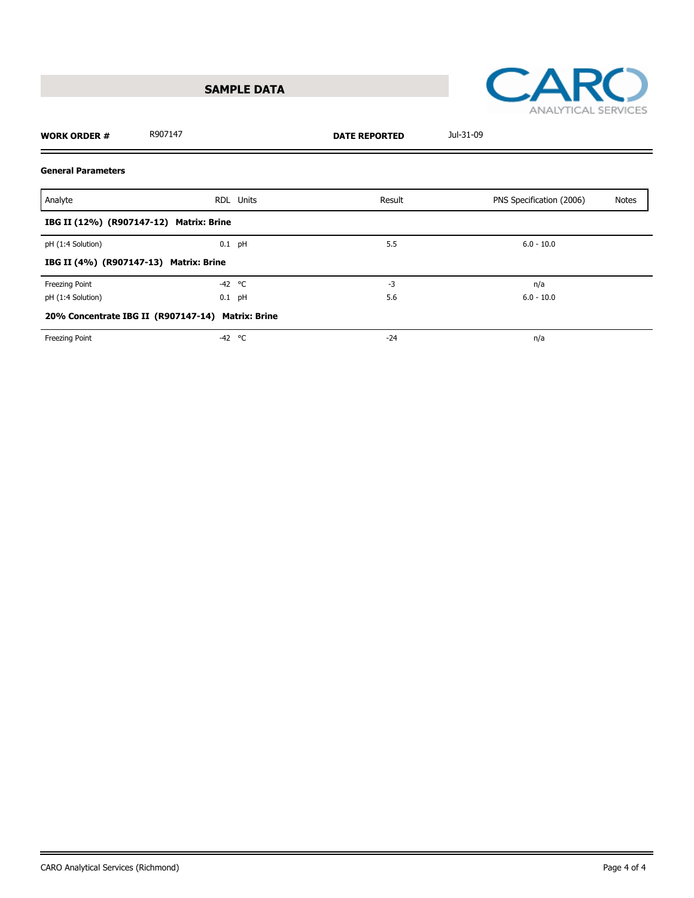



| <b>WORK ORDER #</b>       | R907147                                           |           | <b>DATE REPORTED</b> | Jul-31-09                |       |
|---------------------------|---------------------------------------------------|-----------|----------------------|--------------------------|-------|
| <b>General Parameters</b> |                                                   |           |                      |                          |       |
| Analyte                   |                                                   | RDL Units | Result               | PNS Specification (2006) | Notes |
|                           | IBG II (12%) (R907147-12) Matrix: Brine           |           |                      |                          |       |
| pH (1:4 Solution)         | $0.1$ pH                                          |           | 5.5                  | $6.0 - 10.0$             |       |
|                           | IBG II (4%) (R907147-13) Matrix: Brine            |           |                      |                          |       |
| Freezing Point            | $-42$ °C                                          |           | $-3$                 | n/a                      |       |
| pH (1:4 Solution)         | $0.1$ pH                                          |           | 5.6                  | $6.0 - 10.0$             |       |
|                           | 20% Concentrate IBG II (R907147-14) Matrix: Brine |           |                      |                          |       |
| Freezing Point            | $-42$ °C                                          |           | $-24$                | n/a                      |       |